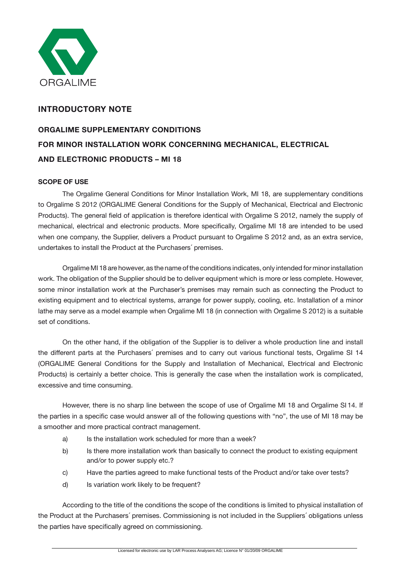

## **INTRODUCTORY NOTE**

# **ORGALIME SUPPLEMENTARY CONDITIONS FOR MINOR INSTALLATION WORK CONCERNING MECHANICAL, ELECTRICAL AND ELECTRONIC PRODUCTS – MI 18**

## **SCOPE OF USE**

The Orgalime General Conditions for Minor Installation Work, MI 18, are supplementary conditions to Orgalime S 2012 (ORGALIME General Conditions for the Supply of Mechanical, Electrical and Electronic Products). The general field of application is therefore identical with Orgalime S 2012, namely the supply of mechanical, electrical and electronic products. More specifically, Orgalime MI 18 are intended to be used when one company, the Supplier, delivers a Product pursuant to Orgalime S 2012 and, as an extra service, undertakes to install the Product at the Purchasers´ premises.

Orgalime MI 18 are however, as the name of the conditions indicates, only intended for minor installation work. The obligation of the Supplier should be to deliver equipment which is more or less complete. However, some minor installation work at the Purchaser's premises may remain such as connecting the Product to existing equipment and to electrical systems, arrange for power supply, cooling, etc. Installation of a minor lathe may serve as a model example when Orgalime MI 18 (in connection with Orgalime S 2012) is a suitable set of conditions.

On the other hand, if the obligation of the Supplier is to deliver a whole production line and install the different parts at the Purchasers´ premises and to carry out various functional tests, Orgalime SI 14 (ORGALIME General Conditions for the Supply and Installation of Mechanical, Electrical and Electronic Products) is certainly a better choice. This is generally the case when the installation work is complicated, excessive and time consuming.

However, there is no sharp line between the scope of use of Orgalime MI 18 and Orgalime SI 14. If the parties in a specific case would answer all of the following questions with "no", the use of MI 18 may be a smoother and more practical contract management.

- a) Is the installation work scheduled for more than a week?
- b) Is there more installation work than basically to connect the product to existing equipment and/or to power supply etc.?
- c) Have the parties agreed to make functional tests of the Product and/or take over tests?
- d) Is variation work likely to be frequent?

According to the title of the conditions the scope of the conditions is limited to physical installation of the Product at the Purchasers´ premises. Commissioning is not included in the Suppliers´ obligations unless the parties have specifically agreed on commissioning.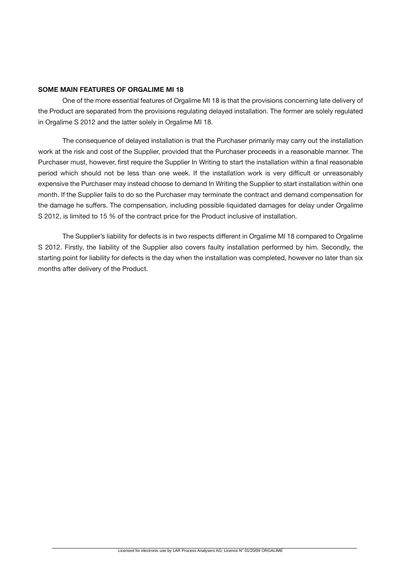### **SOME MAIN FEATURES OF ORGALIME MI 18**

One of the more essential features of Orgalime MI 18 is that the provisions concerning late delivery of the Product are separated from the provisions regulating delayed installation. The former are solely regulated in Orgalime S 2012 and the latter solely in Orgalime MI 18.

The consequence of delayed installation is that the Purchaser primarily may carry out the installation work at the risk and cost of the Supplier, provided that the Purchaser proceeds in a reasonable manner. The Purchaser must, however, first require the Supplier In Writing to start the installation within a final reasonable period which should not be less than one week. If the installation work is very difficult or unreasonably expensive the Purchaser may instead choose to demand In Writing the Supplier to start installation within one month. If the Supplier fails to do so the Purchaser may terminate the contract and demand compensation for the damage he suffers. The compensation, including possible liquidated damages for delay under Orgalime S 2012, is limited to 15 % of the contract price for the Product inclusive of installation.

The Supplier's liability for defects is in two respects different in Orgalime MI 18 compared to Orgalime S 2012. Firstly, the liability of the Supplier also covers faulty installation performed by him. Secondly, the starting point for liability for defects is the day when the installation was completed, however no later than six months after delivery of the Product.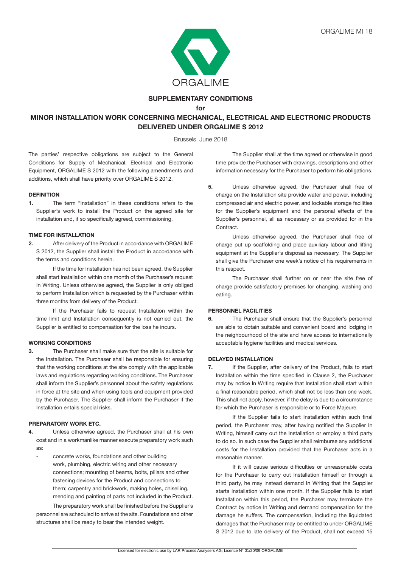

#### **SUPPLEMENTARY CONDITIONS for**

## **MINOR INSTALLATION WORK CONCERNING MECHANICAL, ELECTRICAL AND ELECTRONIC PRODUCTS DELIVERED UNDER ORGALIME S 2012**

Brussels, June 2018

The parties' respective obligations are subject to the General Conditions for Supply of Mechanical, Electrical and Electronic Equipment, ORGALIME S 2012 with the following amendments and additions, which shall have priority over ORGALIME S 2012.

#### **DEFINITION**

**1.** The term "Installation" in these conditions refers to the Supplier's work to install the Product on the agreed site for installation and, if so specifically agreed, commissioning.

#### **TIME FOR INSTALLATION**

**2.** After delivery of the Product in accordance with ORGALIME S 2012, the Supplier shall install the Product in accordance with the terms and conditions herein.

If the time for Installation has not been agreed, the Supplier shall start Installation within one month of the Purchaser's request In Writing. Unless otherwise agreed, the Supplier is only obliged to perform Installation which is requested by the Purchaser within three months from delivery of the Product.

 If the Purchaser fails to request Installation within the time limit and Installation consequently is not carried out, the Supplier is entitled to compensation for the loss he incurs.

#### **WORKING CONDITIONS**

**3.** The Purchaser shall make sure that the site is suitable for the Installation. The Purchaser shall be responsible for ensuring that the working conditions at the site comply with the applicable laws and regulations regarding working conditions. The Purchaser shall inform the Supplier's personnel about the safety regulations in force at the site and when using tools and equipment provided by the Purchaser. The Supplier shall inform the Purchaser if the Installation entails special risks.

#### **PREPARATORY WORK ETC.**

- **4.** Unless otherwise agreed, the Purchaser shall at his own cost and in a workmanlike manner execute preparatory work such as:
	- concrete works, foundations and other building work, plumbing, electric wiring and other necessary connections; mounting of beams, bolts, pillars and other fastening devices for the Product and connections to them; carpentry and brickwork, making holes, chiselling, mending and painting of parts not included in the Product.

The preparatory work shall be finished before the Supplier's personnel are scheduled to arrive at the site. Foundations and other structures shall be ready to bear the intended weight.

 The Supplier shall at the time agreed or otherwise in good time provide the Purchaser with drawings, descriptions and other information necessary for the Purchaser to perform his obligations.

**5.** Unless otherwise agreed, the Purchaser shall free of charge on the Installation site provide water and power, including compressed air and electric power, and lockable storage facilities for the Supplier's equipment and the personal effects of the Supplier's personnel, all as necessary or as provided for in the Contract.

 Unless otherwise agreed, the Purchaser shall free of charge put up scaffolding and place auxiliary labour and lifting equipment at the Supplier's disposal as necessary. The Supplier shall give the Purchaser one week's notice of his requirements in this respect.

 The Purchaser shall further on or near the site free of charge provide satisfactory premises for changing, washing and eating.

#### **PERSONNEL FACILITIES**

**6.** The Purchaser shall ensure that the Supplier's personnel are able to obtain suitable and convenient board and lodging in the neighbourhood of the site and have access to internationally acceptable hygiene facilities and medical services.

#### **DELAYED INSTALLATION**

**7.** If the Supplier, after delivery of the Product, fails to start Installation within the time specified in Clause 2, the Purchaser may by notice In Writing require that Installation shall start within a final reasonable period, which shall not be less than one week. This shall not apply, however, if the delay is due to a circumstance for which the Purchaser is responsible or to Force Majeure.

 If the Supplier fails to start Installation within such final period, the Purchaser may, after having notified the Supplier In Writing, himself carry out the Installation or employ a third party to do so. In such case the Supplier shall reimburse any additional costs for the Installation provided that the Purchaser acts in a reasonable manner.

If it will cause serious difficulties or unreasonable costs for the Purchaser to carry out Installation himself or through a third party, he may instead demand In Writing that the Supplier starts Installation within one month. If the Supplier fails to start Installation within this period, the Purchaser may terminate the Contract by notice In Writing and demand compensation for the damage he suffers. The compensation, including the liquidated damages that the Purchaser may be entitled to under ORGALIME S 2012 due to late delivery of the Product, shall not exceed 15